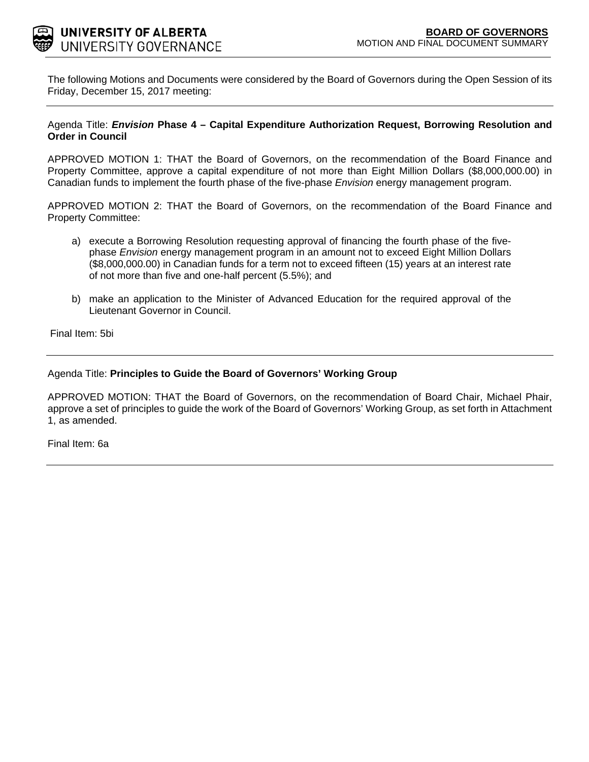

The following Motions and Documents were considered by the Board of Governors during the Open Session of its Friday, December 15, 2017 meeting:

### Agenda Title: *Envision* **Phase 4 – Capital Expenditure Authorization Request, Borrowing Resolution and Order in Council**

APPROVED MOTION 1: THAT the Board of Governors, on the recommendation of the Board Finance and Property Committee, approve a capital expenditure of not more than Eight Million Dollars (\$8,000,000.00) in Canadian funds to implement the fourth phase of the five-phase *Envision* energy management program.

APPROVED MOTION 2: THAT the Board of Governors, on the recommendation of the Board Finance and Property Committee:

- a) execute a Borrowing Resolution requesting approval of financing the fourth phase of the fivephase *Envision* energy management program in an amount not to exceed Eight Million Dollars (\$8,000,000.00) in Canadian funds for a term not to exceed fifteen (15) years at an interest rate of not more than five and one-half percent (5.5%); and
- b) make an application to the Minister of Advanced Education for the required approval of the Lieutenant Governor in Council.

Final Item: [5bi](#page-1-0)

### Agenda Title: **Principles to Guide the Board of Governors' Working Group**

APPROVED MOTION: THAT the Board of Governors, on the recommendation of Board Chair, Michael Phair, approve a set of principles to guide the work of the Board of Governors' Working Group, as set forth in Attachment 1, as amended.

Final Item: [6a](#page-6-0)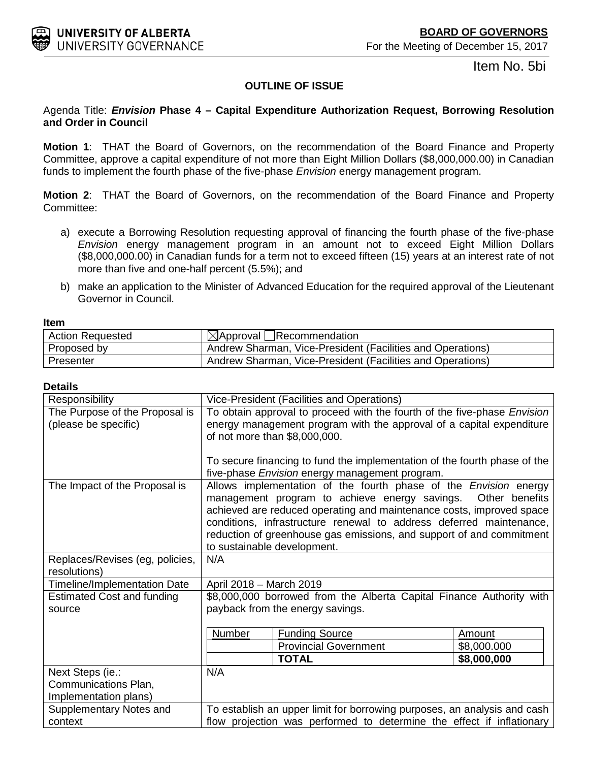Item No. 5bi

# **OUTLINE OF ISSUE**

### <span id="page-1-0"></span>Agenda Title: *Envision* **Phase 4 – Capital Expenditure Authorization Request, Borrowing Resolution and Order in Council**

**Motion 1**: THAT the Board of Governors, on the recommendation of the Board Finance and Property Committee, approve a capital expenditure of not more than Eight Million Dollars (\$8,000,000.00) in Canadian funds to implement the fourth phase of the five-phase *Envision* energy management program.

**Motion 2**: THAT the Board of Governors, on the recommendation of the Board Finance and Property Committee:

- a) execute a Borrowing Resolution requesting approval of financing the fourth phase of the five-phase *Envision* energy management program in an amount not to exceed Eight Million Dollars (\$8,000,000.00) in Canadian funds for a term not to exceed fifteen (15) years at an interest rate of not more than five and one-half percent (5.5%); and
- b) make an application to the Minister of Advanced Education for the required approval of the Lieutenant Governor in Council.

| -------                 |                                                            |
|-------------------------|------------------------------------------------------------|
| <b>Action Requested</b> | $\boxtimes$ Approval Recommendation                        |
| Proposed by             | Andrew Sharman, Vice-President (Facilities and Operations) |
| Presenter               | Andrew Sharman, Vice-President (Facilities and Operations) |

### **Details**

| Responsibility                      |                                                                                 | Vice-President (Facilities and Operations)                                |             |
|-------------------------------------|---------------------------------------------------------------------------------|---------------------------------------------------------------------------|-------------|
| The Purpose of the Proposal is      | To obtain approval to proceed with the fourth of the five-phase <i>Envision</i> |                                                                           |             |
| (please be specific)                |                                                                                 | energy management program with the approval of a capital expenditure      |             |
|                                     |                                                                                 | of not more than \$8,000,000.                                             |             |
|                                     |                                                                                 |                                                                           |             |
|                                     |                                                                                 | To secure financing to fund the implementation of the fourth phase of the |             |
|                                     |                                                                                 | five-phase Envision energy management program.                            |             |
| The Impact of the Proposal is       |                                                                                 | Allows implementation of the fourth phase of the <i>Envision</i> energy   |             |
|                                     |                                                                                 | management program to achieve energy savings. Other benefits              |             |
|                                     |                                                                                 | achieved are reduced operating and maintenance costs, improved space      |             |
|                                     |                                                                                 | conditions, infrastructure renewal to address deferred maintenance,       |             |
|                                     |                                                                                 | reduction of greenhouse gas emissions, and support of and commitment      |             |
|                                     |                                                                                 | to sustainable development.                                               |             |
| Replaces/Revises (eg, policies,     | N/A                                                                             |                                                                           |             |
| resolutions)                        |                                                                                 |                                                                           |             |
| <b>Timeline/Implementation Date</b> | April 2018 - March 2019                                                         |                                                                           |             |
| <b>Estimated Cost and funding</b>   |                                                                                 | \$8,000,000 borrowed from the Alberta Capital Finance Authority with      |             |
| source                              |                                                                                 | payback from the energy savings.                                          |             |
|                                     |                                                                                 |                                                                           |             |
|                                     | Number                                                                          | <b>Funding Source</b>                                                     | Amount      |
|                                     |                                                                                 | <b>Provincial Government</b>                                              | \$8,000.000 |
|                                     |                                                                                 | <b>TOTAL</b>                                                              | \$8,000,000 |
| Next Steps (ie.:                    | N/A                                                                             |                                                                           |             |
| Communications Plan,                |                                                                                 |                                                                           |             |
| Implementation plans)               |                                                                                 |                                                                           |             |
| Supplementary Notes and             | To establish an upper limit for borrowing purposes, an analysis and cash        |                                                                           |             |
| context                             | flow projection was performed to determine the effect if inflationary           |                                                                           |             |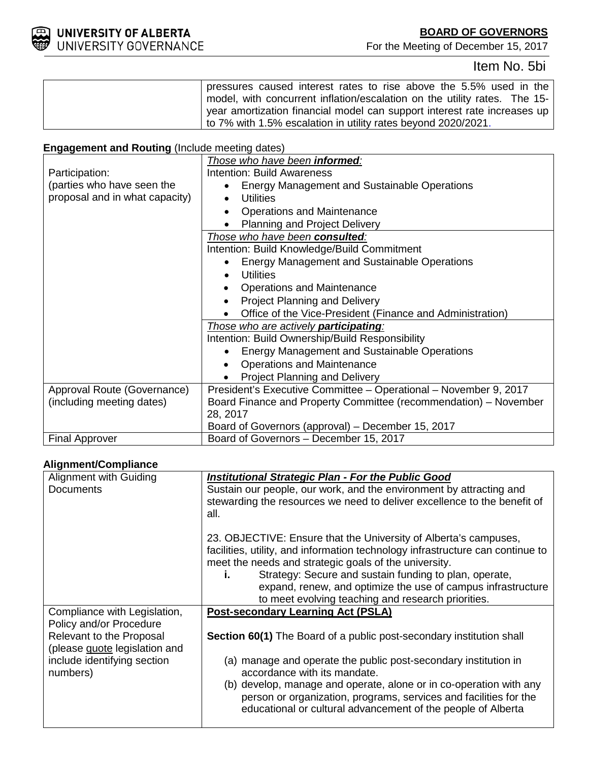

For the Meeting of December 15, 2017

# Item No. 5bi

| pressures caused interest rates to rise above the 5.5% used in the        |
|---------------------------------------------------------------------------|
| model, with concurrent inflation/escalation on the utility rates. The 15- |
| year amortization financial model can support interest rate increases up  |
| to 7% with 1.5% escalation in utility rates beyond 2020/2021.             |

# **Engagement and Routing** (Include meeting dates)

|                                | Those who have been <b>informed</b> :                            |
|--------------------------------|------------------------------------------------------------------|
| Participation:                 | <b>Intention: Build Awareness</b>                                |
| (parties who have seen the     | <b>Energy Management and Sustainable Operations</b>              |
| proposal and in what capacity) | <b>Utilities</b>                                                 |
|                                | <b>Operations and Maintenance</b>                                |
|                                | <b>Planning and Project Delivery</b>                             |
|                                | Those who have been consulted:                                   |
|                                | Intention: Build Knowledge/Build Commitment                      |
|                                | <b>Energy Management and Sustainable Operations</b>              |
|                                | <b>Utilities</b>                                                 |
|                                | Operations and Maintenance                                       |
|                                | <b>Project Planning and Delivery</b>                             |
|                                | Office of the Vice-President (Finance and Administration)        |
|                                | Those who are actively participating:                            |
|                                | Intention: Build Ownership/Build Responsibility                  |
|                                | <b>Energy Management and Sustainable Operations</b>              |
|                                | <b>Operations and Maintenance</b>                                |
|                                | Project Planning and Delivery                                    |
| Approval Route (Governance)    | President's Executive Committee - Operational - November 9, 2017 |
| (including meeting dates)      | Board Finance and Property Committee (recommendation) – November |
|                                | 28, 2017                                                         |
|                                | Board of Governors (approval) - December 15, 2017                |
| <b>Final Approver</b>          | Board of Governors - December 15, 2017                           |

# **Alignment/Compliance**

| Alignment with Guiding                  | <b>Institutional Strategic Plan - For the Public Good</b>                                                                               |
|-----------------------------------------|-----------------------------------------------------------------------------------------------------------------------------------------|
| <b>Documents</b>                        | Sustain our people, our work, and the environment by attracting and                                                                     |
|                                         | stewarding the resources we need to deliver excellence to the benefit of                                                                |
|                                         | all.                                                                                                                                    |
|                                         | 23. OBJECTIVE: Ensure that the University of Alberta's campuses,                                                                        |
|                                         | facilities, utility, and information technology infrastructure can continue to<br>meet the needs and strategic goals of the university. |
|                                         | Strategy: Secure and sustain funding to plan, operate,<br>i.                                                                            |
|                                         | expand, renew, and optimize the use of campus infrastructure                                                                            |
|                                         | to meet evolving teaching and research priorities.                                                                                      |
| Compliance with Legislation,            | <b>Post-secondary Learning Act (PSLA)</b>                                                                                               |
| Policy and/or Procedure                 |                                                                                                                                         |
| Relevant to the Proposal                | <b>Section 60(1)</b> The Board of a public post-secondary institution shall                                                             |
| (please guote legislation and           |                                                                                                                                         |
| include identifying section<br>numbers) | (a) manage and operate the public post-secondary institution in<br>accordance with its mandate.                                         |
|                                         | (b) develop, manage and operate, alone or in co-operation with any                                                                      |
|                                         | person or organization, programs, services and facilities for the                                                                       |
|                                         | educational or cultural advancement of the people of Alberta                                                                            |
|                                         |                                                                                                                                         |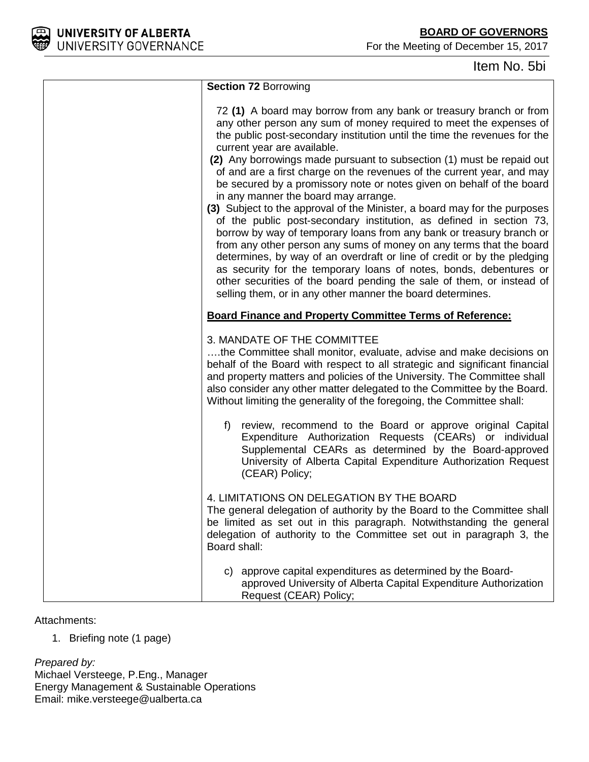**BOARD OF GOVERNORS**

For the Meeting of December 15, 2017



Item No. 5bi

| <b>Section 72 Borrowing</b>                                                                                                                                                                                                                                                                                                                                                                                                                                                                                                                                                                                                                                                                                                                                                                                                                                                                                                                                                                                                                                                                                         |
|---------------------------------------------------------------------------------------------------------------------------------------------------------------------------------------------------------------------------------------------------------------------------------------------------------------------------------------------------------------------------------------------------------------------------------------------------------------------------------------------------------------------------------------------------------------------------------------------------------------------------------------------------------------------------------------------------------------------------------------------------------------------------------------------------------------------------------------------------------------------------------------------------------------------------------------------------------------------------------------------------------------------------------------------------------------------------------------------------------------------|
| 72 (1) A board may borrow from any bank or treasury branch or from<br>any other person any sum of money required to meet the expenses of<br>the public post-secondary institution until the time the revenues for the<br>current year are available.<br>(2) Any borrowings made pursuant to subsection (1) must be repaid out<br>of and are a first charge on the revenues of the current year, and may<br>be secured by a promissory note or notes given on behalf of the board<br>in any manner the board may arrange.<br>(3) Subject to the approval of the Minister, a board may for the purposes<br>of the public post-secondary institution, as defined in section 73,<br>borrow by way of temporary loans from any bank or treasury branch or<br>from any other person any sums of money on any terms that the board<br>determines, by way of an overdraft or line of credit or by the pledging<br>as security for the temporary loans of notes, bonds, debentures or<br>other securities of the board pending the sale of them, or instead of<br>selling them, or in any other manner the board determines. |
| <b>Board Finance and Property Committee Terms of Reference:</b>                                                                                                                                                                                                                                                                                                                                                                                                                                                                                                                                                                                                                                                                                                                                                                                                                                                                                                                                                                                                                                                     |
| 3. MANDATE OF THE COMMITTEE<br>the Committee shall monitor, evaluate, advise and make decisions on<br>behalf of the Board with respect to all strategic and significant financial<br>and property matters and policies of the University. The Committee shall<br>also consider any other matter delegated to the Committee by the Board.<br>Without limiting the generality of the foregoing, the Committee shall:                                                                                                                                                                                                                                                                                                                                                                                                                                                                                                                                                                                                                                                                                                  |
| f) review, recommend to the Board or approve original Capital<br>Expenditure Authorization Requests (CEARs) or individual<br>Supplemental CEARs as determined by the Board-approved<br>University of Alberta Capital Expenditure Authorization Request<br>(CEAR) Policy;                                                                                                                                                                                                                                                                                                                                                                                                                                                                                                                                                                                                                                                                                                                                                                                                                                            |
| 4. LIMITATIONS ON DELEGATION BY THE BOARD<br>The general delegation of authority by the Board to the Committee shall<br>be limited as set out in this paragraph. Notwithstanding the general<br>delegation of authority to the Committee set out in paragraph 3, the<br>Board shall:                                                                                                                                                                                                                                                                                                                                                                                                                                                                                                                                                                                                                                                                                                                                                                                                                                |
| c) approve capital expenditures as determined by the Board-<br>approved University of Alberta Capital Expenditure Authorization<br>Request (CEAR) Policy;                                                                                                                                                                                                                                                                                                                                                                                                                                                                                                                                                                                                                                                                                                                                                                                                                                                                                                                                                           |

### Attachments:

1. Briefing note (1 page)

*Prepared by:*

Michael Versteege, P.Eng., Manager Energy Management & Sustainable Operations Email: mike.versteege@ualberta.ca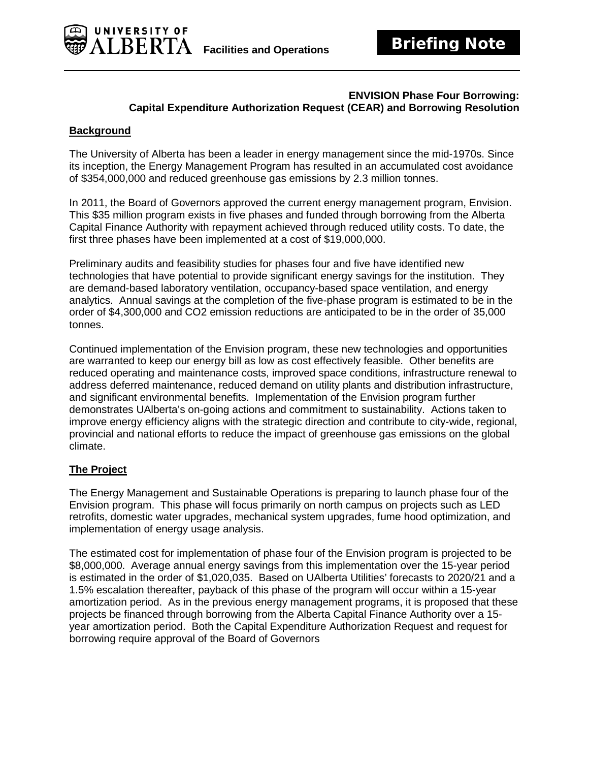

### **ENVISION Phase Four Borrowing: Capital Expenditure Authorization Request (CEAR) and Borrowing Resolution**

# **Background**

The University of Alberta has been a leader in energy management since the mid-1970s. Since its inception, the Energy Management Program has resulted in an accumulated cost avoidance of \$354,000,000 and reduced greenhouse gas emissions by 2.3 million tonnes.

In 2011, the Board of Governors approved the current energy management program, Envision. This \$35 million program exists in five phases and funded through borrowing from the Alberta Capital Finance Authority with repayment achieved through reduced utility costs. To date, the first three phases have been implemented at a cost of \$19,000,000.

Preliminary audits and feasibility studies for phases four and five have identified new technologies that have potential to provide significant energy savings for the institution. They are demand-based laboratory ventilation, occupancy-based space ventilation, and energy analytics. Annual savings at the completion of the five-phase program is estimated to be in the order of \$4,300,000 and CO2 emission reductions are anticipated to be in the order of 35,000 tonnes.

Continued implementation of the Envision program, these new technologies and opportunities are warranted to keep our energy bill as low as cost effectively feasible. Other benefits are reduced operating and maintenance costs, improved space conditions, infrastructure renewal to address deferred maintenance, reduced demand on utility plants and distribution infrastructure, and significant environmental benefits. Implementation of the Envision program further demonstrates UAlberta's on-going actions and commitment to sustainability. Actions taken to improve energy efficiency aligns with the strategic direction and contribute to city-wide, regional, provincial and national efforts to reduce the impact of greenhouse gas emissions on the global climate.

# **The Project**

The Energy Management and Sustainable Operations is preparing to launch phase four of the Envision program. This phase will focus primarily on north campus on projects such as LED retrofits, domestic water upgrades, mechanical system upgrades, fume hood optimization, and implementation of energy usage analysis.

The estimated cost for implementation of phase four of the Envision program is projected to be \$8,000,000. Average annual energy savings from this implementation over the 15-year period is estimated in the order of \$1,020,035. Based on UAlberta Utilities' forecasts to 2020/21 and a 1.5% escalation thereafter, payback of this phase of the program will occur within a 15-year amortization period. As in the previous energy management programs, it is proposed that these projects be financed through borrowing from the Alberta Capital Finance Authority over a 15 year amortization period. Both the Capital Expenditure Authorization Request and request for borrowing require approval of the Board of Governors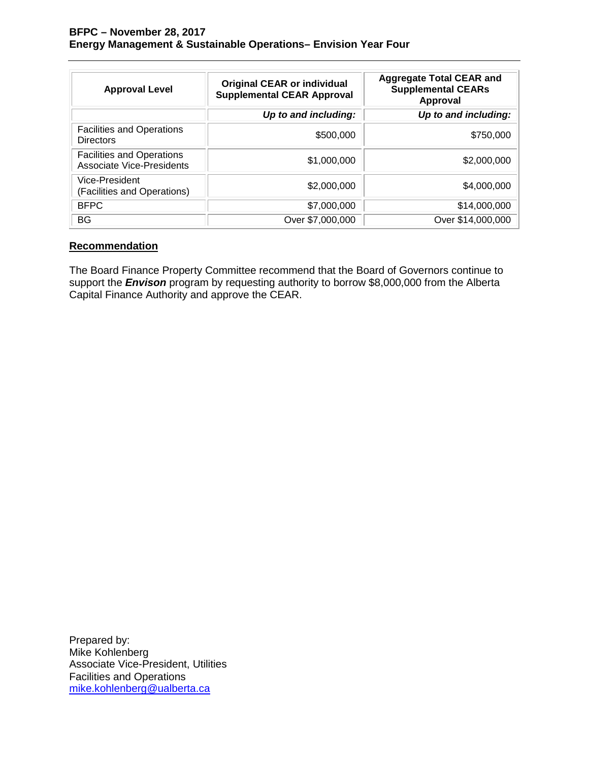| <b>Approval Level</b>                                         | <b>Original CEAR or individual</b><br><b>Supplemental CEAR Approval</b> | <b>Aggregate Total CEAR and</b><br><b>Supplemental CEARs</b><br><b>Approval</b> |
|---------------------------------------------------------------|-------------------------------------------------------------------------|---------------------------------------------------------------------------------|
|                                                               | Up to and including:                                                    | Up to and including:                                                            |
| <b>Facilities and Operations</b><br><b>Directors</b>          | \$500,000                                                               | \$750,000                                                                       |
| <b>Facilities and Operations</b><br>Associate Vice-Presidents | \$1,000,000                                                             | \$2,000,000                                                                     |
| Vice-President<br>(Facilities and Operations)                 | \$2,000,000                                                             | \$4,000,000                                                                     |
| <b>BFPC</b>                                                   | \$7,000,000                                                             | \$14,000,000                                                                    |
| BG                                                            | Over \$7,000,000                                                        | Over \$14,000,000                                                               |

# **Recommendation**

The Board Finance Property Committee recommend that the Board of Governors continue to support the *Envison* program by requesting authority to borrow \$8,000,000 from the Alberta Capital Finance Authority and approve the CEAR.

Prepared by: Mike Kohlenberg Associate Vice-President, Utilities Facilities and Operations [mike.kohlenberg@ualberta.ca](mailto:mike.kohlenberg@ualberta.ca)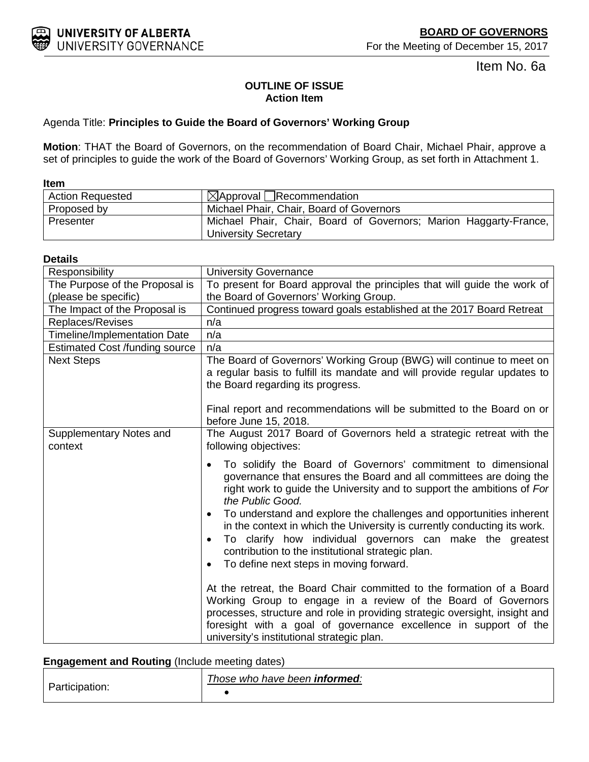For the Meeting of December 15, 2017

Item No. 6a

# **OUTLINE OF ISSUE Action Item**

# <span id="page-6-0"></span>Agenda Title: **Principles to Guide the Board of Governors' Working Group**

**Motion**: THAT the Board of Governors, on the recommendation of Board Chair, Michael Phair, approve a set of principles to guide the work of the Board of Governors' Working Group, as set forth in Attachment 1.

| <b>Item</b>             |                                                                                                  |
|-------------------------|--------------------------------------------------------------------------------------------------|
| <b>Action Requested</b> | $\boxtimes$ Approval Recommendation                                                              |
| Proposed by             | Michael Phair, Chair, Board of Governors                                                         |
| Presenter               | Michael Phair, Chair, Board of Governors; Marion Haggarty-France,<br><b>University Secretary</b> |

### **Details**

| Responsibility                        | <b>University Governance</b>                                                                                                                                                                                                                                                                                                                                                                                                                                                                                                                                                                          |
|---------------------------------------|-------------------------------------------------------------------------------------------------------------------------------------------------------------------------------------------------------------------------------------------------------------------------------------------------------------------------------------------------------------------------------------------------------------------------------------------------------------------------------------------------------------------------------------------------------------------------------------------------------|
| The Purpose of the Proposal is        | To present for Board approval the principles that will guide the work of                                                                                                                                                                                                                                                                                                                                                                                                                                                                                                                              |
| (please be specific)                  | the Board of Governors' Working Group.                                                                                                                                                                                                                                                                                                                                                                                                                                                                                                                                                                |
| The Impact of the Proposal is         | Continued progress toward goals established at the 2017 Board Retreat                                                                                                                                                                                                                                                                                                                                                                                                                                                                                                                                 |
| Replaces/Revises                      | n/a                                                                                                                                                                                                                                                                                                                                                                                                                                                                                                                                                                                                   |
| <b>Timeline/Implementation Date</b>   | n/a                                                                                                                                                                                                                                                                                                                                                                                                                                                                                                                                                                                                   |
| <b>Estimated Cost /funding source</b> | n/a                                                                                                                                                                                                                                                                                                                                                                                                                                                                                                                                                                                                   |
| <b>Next Steps</b>                     | The Board of Governors' Working Group (BWG) will continue to meet on<br>a regular basis to fulfill its mandate and will provide regular updates to<br>the Board regarding its progress.                                                                                                                                                                                                                                                                                                                                                                                                               |
|                                       | Final report and recommendations will be submitted to the Board on or<br>before June 15, 2018.                                                                                                                                                                                                                                                                                                                                                                                                                                                                                                        |
| Supplementary Notes and<br>context    | The August 2017 Board of Governors held a strategic retreat with the<br>following objectives:                                                                                                                                                                                                                                                                                                                                                                                                                                                                                                         |
|                                       | To solidify the Board of Governors' commitment to dimensional<br>$\bullet$<br>governance that ensures the Board and all committees are doing the<br>right work to guide the University and to support the ambitions of For<br>the Public Good.<br>To understand and explore the challenges and opportunities inherent<br>$\bullet$<br>in the context in which the University is currently conducting its work.<br>To clarify how individual governors can make the greatest<br>$\bullet$<br>contribution to the institutional strategic plan.<br>To define next steps in moving forward.<br>$\bullet$ |
|                                       | At the retreat, the Board Chair committed to the formation of a Board<br>Working Group to engage in a review of the Board of Governors<br>processes, structure and role in providing strategic oversight, insight and<br>foresight with a goal of governance excellence in support of the<br>university's institutional strategic plan.                                                                                                                                                                                                                                                               |

# **Engagement and Routing** (Include meeting dates)

| ∽<br>Participation. | Those who have been informed: |
|---------------------|-------------------------------|
|                     |                               |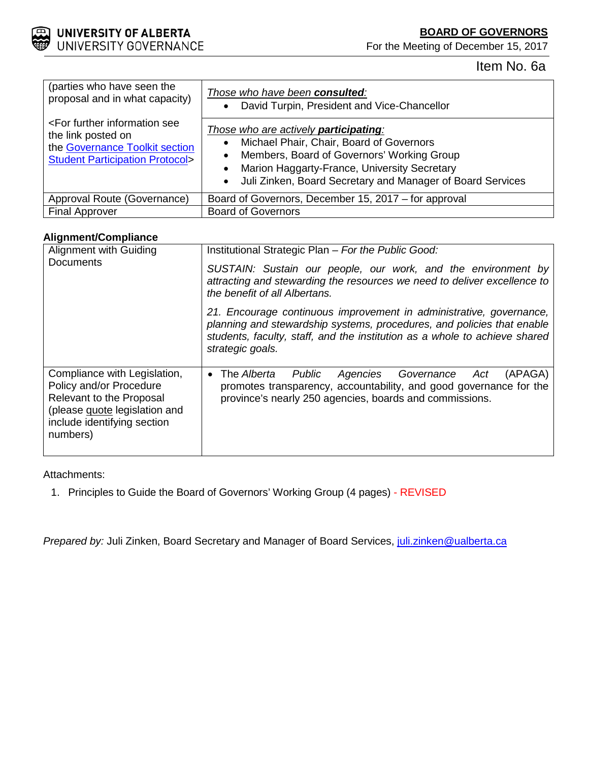**BOARD OF GOVERNORS**

For the Meeting of December 15, 2017



Item No. 6a

| (parties who have seen the<br>proposal and in what capacity)                                                                                       | Those who have been consulted:<br>David Turpin, President and Vice-Chancellor<br>$\bullet$                                                                                                                                                                                                                |
|----------------------------------------------------------------------------------------------------------------------------------------------------|-----------------------------------------------------------------------------------------------------------------------------------------------------------------------------------------------------------------------------------------------------------------------------------------------------------|
| <for further="" information="" see<br="">the link posted on<br/>the Governance Toolkit section<br/><b>Student Participation Protocol&gt;</b></for> | Those who are actively <b>participating</b> :<br>Michael Phair, Chair, Board of Governors<br>$\bullet$<br>Members, Board of Governors' Working Group<br>$\bullet$<br>Marion Haggarty-France, University Secretary<br>$\bullet$<br>Juli Zinken, Board Secretary and Manager of Board Services<br>$\bullet$ |
| Approval Route (Governance)                                                                                                                        | Board of Governors, December 15, 2017 – for approval                                                                                                                                                                                                                                                      |
| <b>Final Approver</b>                                                                                                                              | <b>Board of Governors</b>                                                                                                                                                                                                                                                                                 |

# **Alignment/Compliance**

| Alignment with Guiding<br><b>Documents</b>                                                                                                                      | Institutional Strategic Plan - For the Public Good:<br>SUSTAIN: Sustain our people, our work, and the environment by<br>attracting and stewarding the resources we need to deliver excellence to<br>the benefit of all Albertans.               |
|-----------------------------------------------------------------------------------------------------------------------------------------------------------------|-------------------------------------------------------------------------------------------------------------------------------------------------------------------------------------------------------------------------------------------------|
|                                                                                                                                                                 | 21. Encourage continuous improvement in administrative, governance,<br>planning and stewardship systems, procedures, and policies that enable<br>students, faculty, staff, and the institution as a whole to achieve shared<br>strategic goals. |
| Compliance with Legislation,<br>Policy and/or Procedure<br>Relevant to the Proposal<br>(please guote legislation and<br>include identifying section<br>numbers) | The Alberta<br>Public<br>(APAGA)<br>Agencies Governance<br>Act<br>$\bullet$<br>promotes transparency, accountability, and good governance for the<br>province's nearly 250 agencies, boards and commissions.                                    |

# Attachments:

1. Principles to Guide the Board of Governors' Working Group (4 pages) - REVISED

*Prepared by:* Juli Zinken, Board Secretary and Manager of Board Services, *juli.zinken@ualberta.ca*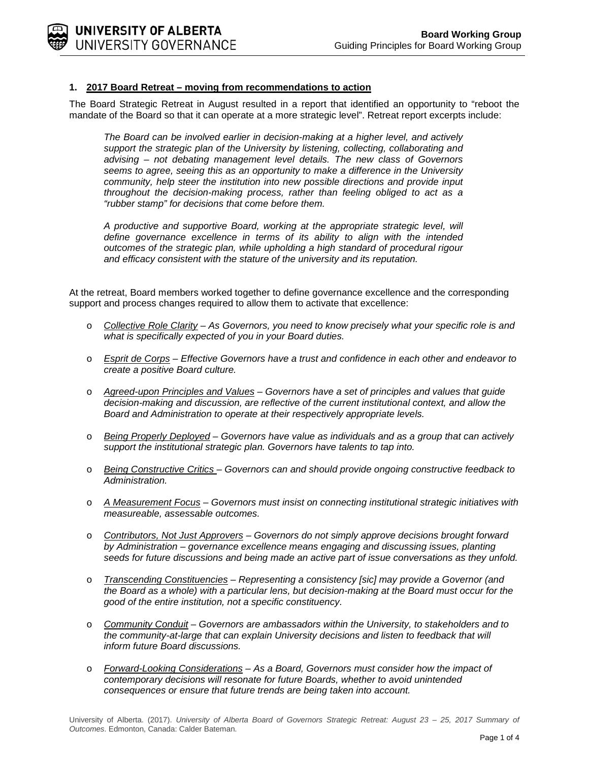

### **1. 2017 Board Retreat – moving from recommendations to action**

The Board Strategic Retreat in August resulted in a report that identified an opportunity to "reboot the mandate of the Board so that it can operate at a more strategic level". Retreat report excerpts include:

*The Board can be involved earlier in decision-making at a higher level, and actively support the strategic plan of the University by listening, collecting, collaborating and advising – not debating management level details. The new class of Governors seems to agree, seeing this as an opportunity to make a difference in the University community, help steer the institution into new possible directions and provide input throughout the decision-making process, rather than feeling obliged to act as a "rubber stamp" for decisions that come before them.*

*A productive and supportive Board, working at the appropriate strategic level, will define governance excellence in terms of its ability to align with the intended outcomes of the strategic plan, while upholding a high standard of procedural rigour and efficacy consistent with the stature of the university and its reputation.*

At the retreat, Board members worked together to define governance excellence and the corresponding support and process changes required to allow them to activate that excellence:

- o *Collective Role Clarity – As Governors, you need to know precisely what your specific role is and what is specifically expected of you in your Board duties.*
- o *Esprit de Corps – Effective Governors have a trust and confidence in each other and endeavor to create a positive Board culture.*
- o *Agreed-upon Principles and Values – Governors have a set of principles and values that guide decision-making and discussion, are reflective of the current institutional context, and allow the Board and Administration to operate at their respectively appropriate levels.*
- o *Being Properly Deployed – Governors have value as individuals and as a group that can actively support the institutional strategic plan. Governors have talents to tap into.*
- o *Being Constructive Critics – Governors can and should provide ongoing constructive feedback to Administration.*
- o *A Measurement Focus – Governors must insist on connecting institutional strategic initiatives with measureable, assessable outcomes.*
- o *Contributors, Not Just Approvers – Governors do not simply approve decisions brought forward by Administration – governance excellence means engaging and discussing issues, planting seeds for future discussions and being made an active part of issue conversations as they unfold.*
- o *Transcending Constituencies – Representing a consistency [sic] may provide a Governor (and the Board as a whole) with a particular lens, but decision-making at the Board must occur for the good of the entire institution, not a specific constituency.*
- o *Community Conduit – Governors are ambassadors within the University, to stakeholders and to the community-at-large that can explain University decisions and listen to feedback that will inform future Board discussions.*
- o *Forward-Looking Considerations – As a Board, Governors must consider how the impact of contemporary decisions will resonate for future Boards, whether to avoid unintended consequences or ensure that future trends are being taken into account.*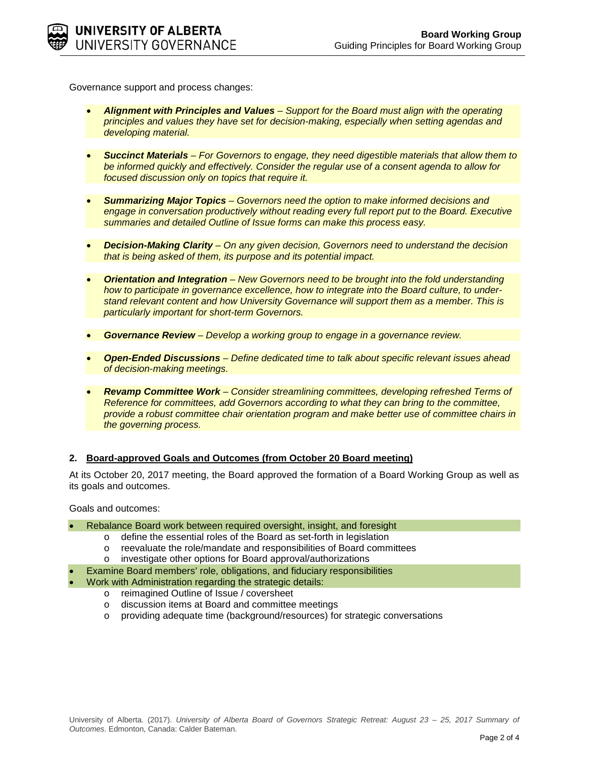Governance support and process changes:

- *Alignment with Principles and Values – Support for the Board must align with the operating principles and values they have set for decision-making, especially when setting agendas and developing material.*
- *Succinct Materials – For Governors to engage, they need digestible materials that allow them to be informed quickly and effectively. Consider the regular use of a consent agenda to allow for focused discussion only on topics that require it.*
- *Summarizing Major Topics – Governors need the option to make informed decisions and engage in conversation productively without reading every full report put to the Board. Executive summaries and detailed Outline of Issue forms can make this process easy.*
- *Decision-Making Clarity – On any given decision, Governors need to understand the decision that is being asked of them, its purpose and its potential impact.*
- *Orientation and Integration – New Governors need to be brought into the fold understanding how to participate in governance excellence, how to integrate into the Board culture, to understand relevant content and how University Governance will support them as a member. This is particularly important for short-term Governors.*
- *Governance Review – Develop a working group to engage in a governance review.*
- *Open-Ended Discussions – Define dedicated time to talk about specific relevant issues ahead of decision-making meetings.*
- *Revamp Committee Work – Consider streamlining committees, developing refreshed Terms of Reference for committees, add Governors according to what they can bring to the committee, provide a robust committee chair orientation program and make better use of committee chairs in the governing process.*

#### **2. Board-approved Goals and Outcomes (from October 20 Board meeting)**

At its October 20, 2017 meeting, the Board approved the formation of a Board Working Group as well as its goals and outcomes.

Goals and outcomes:

- Rebalance Board work between required oversight, insight, and foresight
	- o define the essential roles of the Board as set-forth in legislation
	- o reevaluate the role/mandate and responsibilities of Board committees
	- o investigate other options for Board approval/authorizations
- Examine Board members' role, obligations, and fiduciary responsibilities
- Work with Administration regarding the strategic details:
	- o reimagined Outline of Issue / coversheet
	- o discussion items at Board and committee meetings
	- o providing adequate time (background/resources) for strategic conversations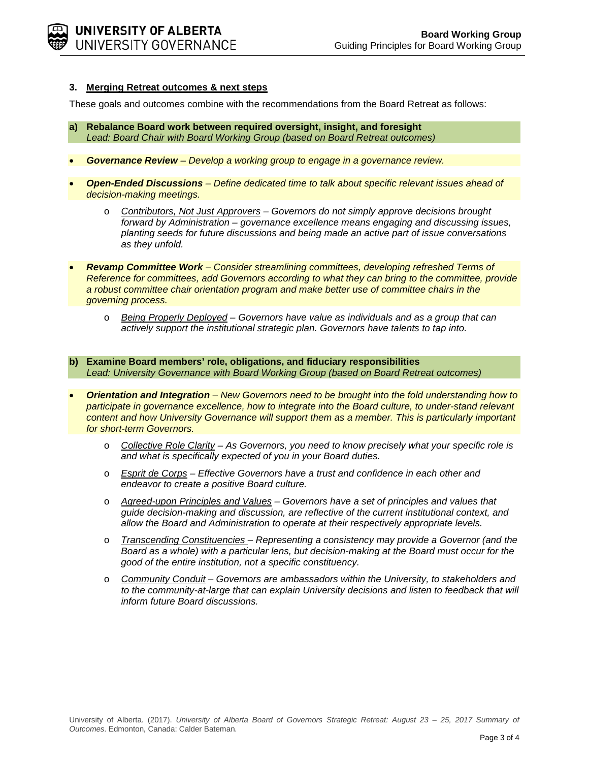#### **3. Merging Retreat outcomes & next steps**

These goals and outcomes combine with the recommendations from the Board Retreat as follows:

- **a) Rebalance Board work between required oversight, insight, and foresight** *Lead: Board Chair with Board Working Group (based on Board Retreat outcomes)*
- *Governance Review – Develop a working group to engage in a governance review.*
- *Open-Ended Discussions – Define dedicated time to talk about specific relevant issues ahead of decision-making meetings.*
	- o *Contributors, Not Just Approvers – Governors do not simply approve decisions brought forward by Administration – governance excellence means engaging and discussing issues, planting seeds for future discussions and being made an active part of issue conversations as they unfold.*
- *Revamp Committee Work – Consider streamlining committees, developing refreshed Terms of Reference for committees, add Governors according to what they can bring to the committee, provide a robust committee chair orientation program and make better use of committee chairs in the governing process.*
	- o *Being Properly Deployed – Governors have value as individuals and as a group that can actively support the institutional strategic plan. Governors have talents to tap into.*
- **b) Examine Board members' role, obligations, and fiduciary responsibilities** *Lead: University Governance with Board Working Group (based on Board Retreat outcomes)*
- *Orientation and Integration – New Governors need to be brought into the fold understanding how to*  participate in governance excellence, how to integrate into the Board culture, to under-stand relevant *content and how University Governance will support them as a member. This is particularly important for short-term Governors.*
	- o *Collective Role Clarity – As Governors, you need to know precisely what your specific role is and what is specifically expected of you in your Board duties.*
	- o *Esprit de Corps – Effective Governors have a trust and confidence in each other and endeavor to create a positive Board culture.*
	- o *Agreed-upon Principles and Values – Governors have a set of principles and values that guide decision-making and discussion, are reflective of the current institutional context, and allow the Board and Administration to operate at their respectively appropriate levels.*
	- o *Transcending Constituencies – Representing a consistency may provide a Governor (and the Board as a whole) with a particular lens, but decision-making at the Board must occur for the good of the entire institution, not a specific constituency.*
	- o *Community Conduit – Governors are ambassadors within the University, to stakeholders and*  to the community-at-large that can explain University decisions and listen to feedback that will *inform future Board discussions.*